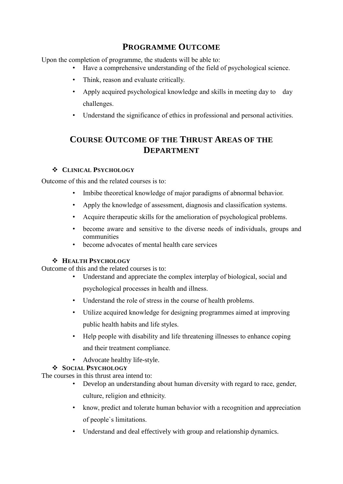## **PROGRAMME OUTCOME**

Upon the completion of programme, the students will be able to:

- Have a comprehensive understanding of the field of psychological science.
- Think, reason and evaluate critically.
- Apply acquired psychological knowledge and skills in meeting day to day challenges.
- Understand the significance of ethics in professional and personal activities.

# **COURSE OUTCOME OF THE THRUST AREAS OF THE DEPARTMENT**

## **CLINICAL PSYCHOLOGY**

Outcome of this and the related courses is to:

- Imbibe theoretical knowledge of major paradigms of abnormal behavior.
- Apply the knowledge of assessment, diagnosis and classification systems.
- Acquire therapeutic skills for the amelioration of psychological problems.
- become aware and sensitive to the diverse needs of individuals, groups and communities
- become advocates of mental health care services

## **HEALTH PSYCHOLOGY**

Outcome of this and the related courses is to:

- Understand and appreciate the complex interplay of biological, social and psychological processes in health and illness.
- Understand the role of stress in the course of health problems.
- Utilize acquired knowledge for designing programmes aimed at improving public health habits and life styles.
- Help people with disability and life threatening illnesses to enhance coping and their treatment compliance.
- Advocate healthy life-style.

## **SOCIAL PSYCHOLOGY**

The courses in this thrust area intend to:

- Develop an understanding about human diversity with regard to race, gender, culture, religion and ethnicity.
- know, predict and tolerate human behavior with a recognition and appreciation of people`s limitations.
- Understand and deal effectively with group and relationship dynamics.